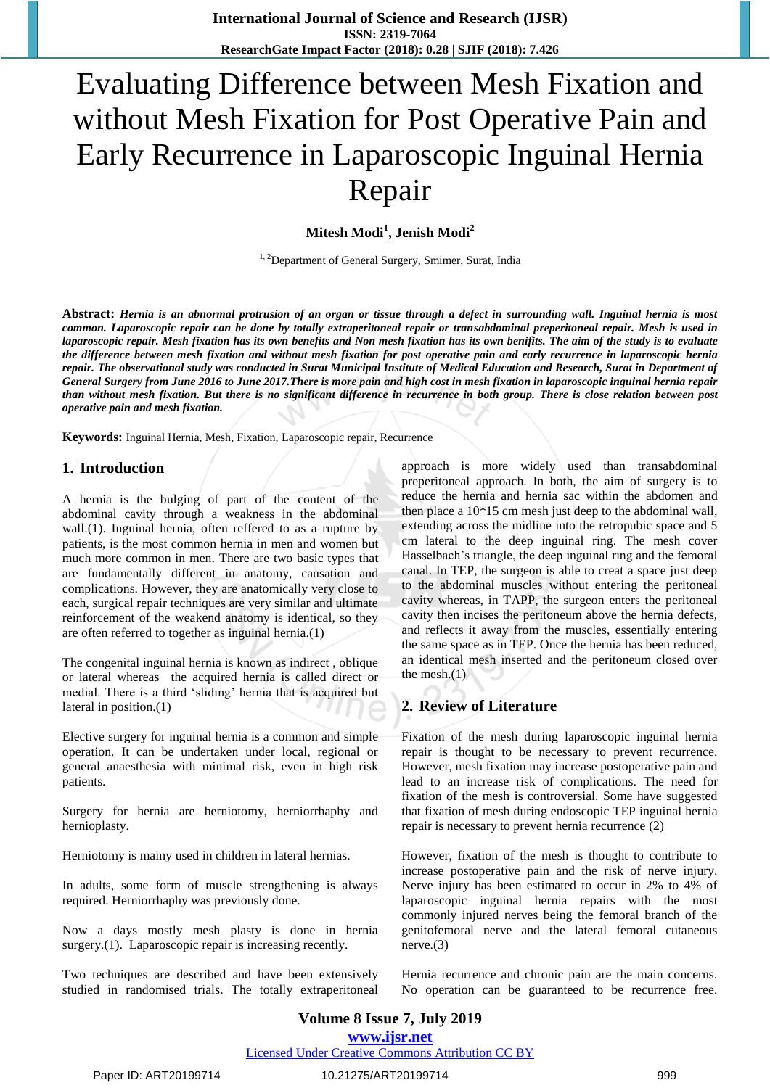# Evaluating Difference between Mesh Fixation and without Mesh Fixation for Post Operative Pain and Early Recurrence in Laparoscopic Inguinal Hernia Repair

**Mitesh Modi<sup>1</sup> , Jenish Modi<sup>2</sup>**

<sup>1, 2</sup>Department of General Surgery, Smimer, Surat, India

**Abstract:** *Hernia is an abnormal protrusion of an organ or tissue through a defect in surrounding wall. Inguinal hernia is most common. Laparoscopic repair can be done by totally extraperitoneal repair or transabdominal preperitoneal repair. Mesh is used in laparoscopic repair. Mesh fixation has its own benefits and Non mesh fixation has its own benifits. The aim of the study is to evaluate the difference between mesh fixation and without mesh fixation for post operative pain and early recurrence in laparoscopic hernia repair. The observational study was conducted in Surat Municipal Institute of Medical Education and Research, Surat in Department of General Surgery from June 2016 to June 2017.There is more pain and high cost in mesh fixation in laparoscopic inguinal hernia repair than without mesh fixation. But there is no significant difference in recurrence in both group. There is close relation between post operative pain and mesh fixation.*

**Keywords:** Inguinal Hernia, Mesh, Fixation, Laparoscopic repair, Recurrence

## **1. Introduction**

A hernia is the bulging of part of the content of the abdominal cavity through a weakness in the abdominal wall.(1). Inguinal hernia, often reffered to as a rupture by patients, is the most common hernia in men and women but much more common in men. There are two basic types that are fundamentally different in anatomy, causation and complications. However, they are anatomically very close to each, surgical repair techniques are very similar and ultimate reinforcement of the weakend anatomy is identical, so they are often referred to together as inguinal hernia.(1)

The congenital inguinal hernia is known as indirect , oblique or lateral whereas the acquired hernia is called direct or medial. There is a third 'sliding' hernia that is acquired but lateral in position.(1)

Elective surgery for inguinal hernia is a common and simple operation. It can be undertaken under local, regional or general anaesthesia with minimal risk, even in high risk patients.

Surgery for hernia are herniotomy, herniorrhaphy and hernioplasty.

Herniotomy is mainy used in children in lateral hernias.

In adults, some form of muscle strengthening is always required. Herniorrhaphy was previously done.

Now a days mostly mesh plasty is done in hernia surgery.(1). Laparoscopic repair is increasing recently.

Two techniques are described and have been extensively studied in randomised trials. The totally extraperitoneal approach is more widely used than transabdominal preperitoneal approach. In both, the aim of surgery is to reduce the hernia and hernia sac within the abdomen and then place a 10\*15 cm mesh just deep to the abdominal wall, extending across the midline into the retropubic space and 5 cm lateral to the deep inguinal ring. The mesh cover Hasselbach's triangle, the deep inguinal ring and the femoral canal. In TEP, the surgeon is able to creat a space just deep to the abdominal muscles without entering the peritoneal cavity whereas, in TAPP, the surgeon enters the peritoneal cavity then incises the peritoneum above the hernia defects, and reflects it away from the muscles, essentially entering the same space as in TEP. Once the hernia has been reduced, an identical mesh inserted and the peritoneum closed over the mesh.(1)

# **2. Review of Literature**

Fixation of the mesh during laparoscopic inguinal hernia repair is thought to be necessary to prevent recurrence. However, mesh fixation may increase postoperative pain and lead to an increase risk of complications. The need for fixation of the mesh is controversial. Some have suggested that fixation of mesh during endoscopic TEP inguinal hernia repair is necessary to prevent hernia recurrence (2)

However, fixation of the mesh is thought to contribute to increase postoperative pain and the risk of nerve injury. Nerve injury has been estimated to occur in 2% to 4% of laparoscopic inguinal hernia repairs with the most commonly injured nerves being the femoral branch of the genitofemoral nerve and the lateral femoral cutaneous nerve.(3)

Hernia recurrence and chronic pain are the main concerns. No operation can be guaranteed to be recurrence free.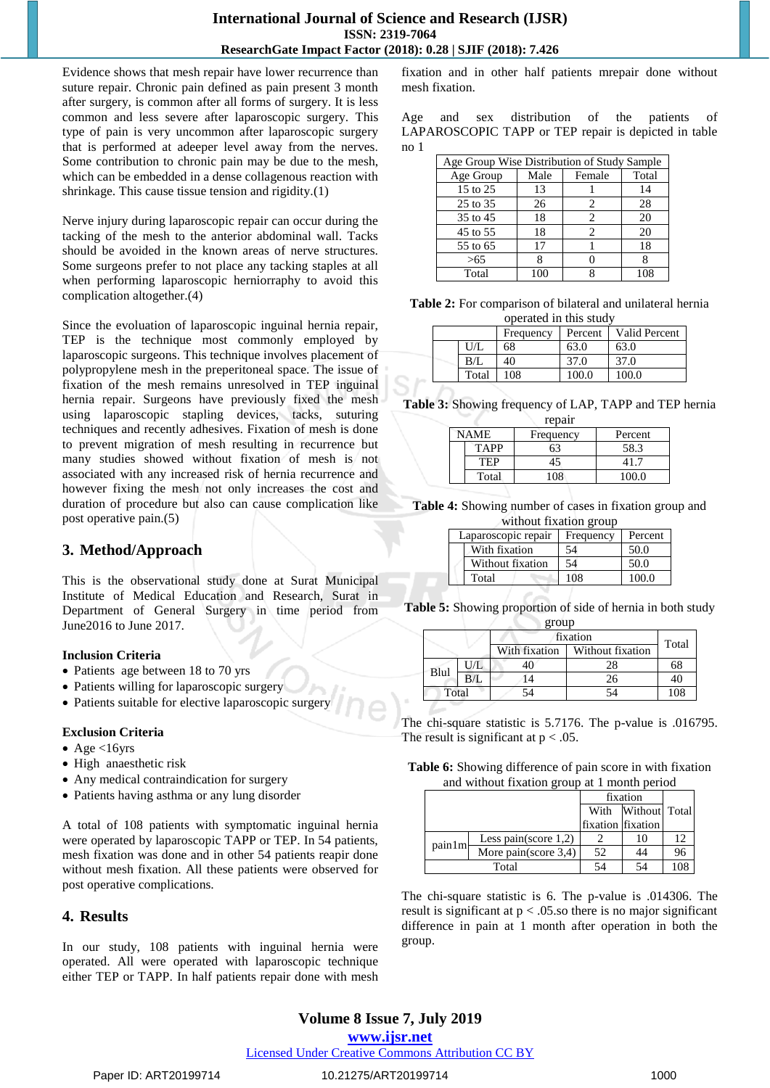### **International Journal of Science and Research (IJSR) ISSN: 2319-7064 ResearchGate Impact Factor (2018): 0.28 | SJIF (2018): 7.426**

Evidence shows that mesh repair have lower recurrence than suture repair. Chronic pain defined as pain present 3 month after surgery, is common after all forms of surgery. It is less common and less severe after laparoscopic surgery. This type of pain is very uncommon after laparoscopic surgery that is performed at adeeper level away from the nerves. Some contribution to chronic pain may be due to the mesh, which can be embedded in a dense collagenous reaction with shrinkage. This cause tissue tension and rigidity.(1)

Nerve injury during laparoscopic repair can occur during the tacking of the mesh to the anterior abdominal wall. Tacks should be avoided in the known areas of nerve structures. Some surgeons prefer to not place any tacking staples at all when performing laparoscopic herniorraphy to avoid this complication altogether.(4)

Since the evoluation of laparoscopic inguinal hernia repair, TEP is the technique most commonly employed by laparoscopic surgeons. This technique involves placement of polypropylene mesh in the preperitoneal space. The issue of fixation of the mesh remains unresolved in TEP inguinal hernia repair. Surgeons have previously fixed the mesh using laparoscopic stapling devices, tacks, suturing techniques and recently adhesives. Fixation of mesh is done to prevent migration of mesh resulting in recurrence but many studies showed without fixation of mesh is not associated with any increased risk of hernia recurrence and however fixing the mesh not only increases the cost and duration of procedure but also can cause complication like post operative pain.(5)

# **3. Method/Approach**

This is the observational study done at Surat Municipal Institute of Medical Education and Research, Surat in Department of General Surgery in time period from June2016 to June 2017.

## **Inclusion Criteria**

- Patients age between 18 to 70 yrs
- Patients willing for laparoscopic surgery
- Patients suitable for elective laparoscopic surgery

## **Exclusion Criteria**

- Age  $<16$ yrs
- High anaesthetic risk
- Any medical contraindication for surgery
- Patients having asthma or any lung disorder

A total of 108 patients with symptomatic inguinal hernia were operated by laparoscopic TAPP or TEP. In 54 patients, mesh fixation was done and in other 54 patients reapir done without mesh fixation. All these patients were observed for post operative complications.

## **4. Results**

In our study, 108 patients with inguinal hernia were operated. All were operated with laparoscopic technique either TEP or TAPP. In half patients repair done with mesh

fixation and in other half patients mrepair done without mesh fixation.

Age and sex distribution of the patients of LAPAROSCOPIC TAPP or TEP repair is depicted in table no 1

|           | Age Group Wise Distribution of Study Sample |                |       |  |  |
|-----------|---------------------------------------------|----------------|-------|--|--|
| Age Group | Male                                        | Female         | Total |  |  |
| 15 to 25  | 13                                          |                | 14    |  |  |
| 25 to 35  | 26                                          | 2              | 28    |  |  |
| 35 to 45  | 18                                          | $\mathfrak{D}$ | 20    |  |  |
| 45 to 55  | 18                                          | 2              | 20    |  |  |
| 55 to 65  | 17                                          |                | 18    |  |  |
| >65       |                                             |                |       |  |  |
| Total     |                                             |                |       |  |  |

**Table 2:** For comparison of bilateral and unilateral hernia operated in this study

|  |       | Frequency | Percent | <b>Valid Percent</b> |
|--|-------|-----------|---------|----------------------|
|  | U/L   | 68        | 63.0    | 63.0                 |
|  | B/L   | 40        | 37.0    | 37.0                 |
|  | Total | 108       | 100.0   | 100.0                |

**Table 3:** Showing frequency of LAP, TAPP and TEP hernia

| repair |             |           |         |  |  |
|--------|-------------|-----------|---------|--|--|
|        | NAME        | Frequency | Percent |  |  |
|        | <b>TAPP</b> |           | 58.3    |  |  |
|        | TEP         | 45        | 41 7    |  |  |
|        | Total       | 108       | 100 O   |  |  |

**Table 4:** Showing number of cases in fixation group and without fixation group

| Laparoscopic repair | Frequency | Percent |  |  |
|---------------------|-----------|---------|--|--|
| With fixation       | 54        | 50.0    |  |  |
| Without fixation    | 54        | 50.0    |  |  |
| Total               | 108       | 100.0   |  |  |

**Table 5:** Showing proportion of side of hernia in both study

|       |     | group         |                  |       |  |
|-------|-----|---------------|------------------|-------|--|
|       |     | fixation      |                  |       |  |
|       |     | With fixation | Without fixation | Total |  |
| Blul  | U/L |               | 28               | 68    |  |
|       |     |               | 26               |       |  |
| Total |     |               | 54               | 108   |  |

The chi-square statistic is 5.7176. The p-value is .016795. The result is significant at  $p < .05$ .

**Table 6:** Showing difference of pain score in with fixation and without fixation group at 1 month period

|        |                         |                   | fixation      |     |
|--------|-------------------------|-------------------|---------------|-----|
|        |                         | With              | Without Total |     |
|        |                         | fixation fixation |               |     |
| pain1m | Less pain(score $1,2$ ) |                   | 10            | 12  |
|        | More pain(score 3,4)    | 52                | 44            | 96  |
| Total  |                         | 54                |               | 108 |

The chi-square statistic is 6. The p-value is .014306. The result is significant at p < .05.so there is no major significant difference in pain at 1 month after operation in both the group.

# **Volume 8 Issue 7, July 2019**

#### **www.ijsr.net**

Licensed Under Creative Commons Attribution CC BY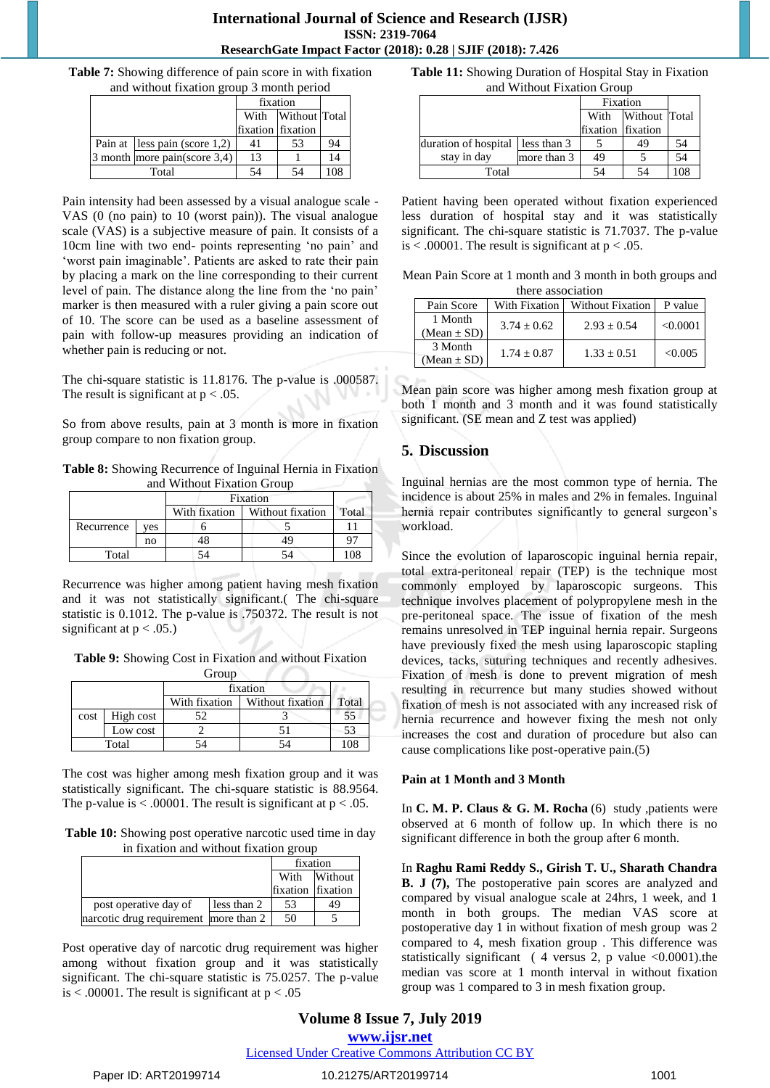#### **International Journal of Science and Research (IJSR) ISSN: 2319-7064 ResearchGate Impact Factor (2018): 0.28 | SJIF (2018): 7.426**

**Table 7:** Showing difference of pain score in with fixation and without fixation group 3 month period

|                                  | fixation          |                    |     |
|----------------------------------|-------------------|--------------------|-----|
|                                  |                   | With Without Total |     |
|                                  | fixation fixation |                    |     |
| Pain at less pain (score $1,2$ ) | 41                | 53                 | 94  |
| 3 month more pain(score $3,4$ )  | 13                |                    | 14  |
| Total                            |                   |                    | 108 |

Pain intensity had been assessed by a visual analogue scale - VAS (0 (no pain) to 10 (worst pain)). The visual analogue scale (VAS) is a subjective measure of pain. It consists of a 10cm line with two end- points representing 'no pain' and 'worst pain imaginable'. Patients are asked to rate their pain by placing a mark on the line corresponding to their current level of pain. The distance along the line from the 'no pain' marker is then measured with a ruler giving a pain score out of 10. The score can be used as a baseline assessment of pain with follow-up measures providing an indication of whether pain is reducing or not.

The chi-square statistic is 11.8176. The p-value is .000587. The result is significant at  $p < .05$ .

So from above results, pain at 3 month is more in fixation group compare to non fixation group.

**Table 8:** Showing Recurrence of Inguinal Hernia in Fixation and Without Fixation Group

|            |     | Fixation                          |  |       |
|------------|-----|-----------------------------------|--|-------|
|            |     | With fixation<br>Without fixation |  | Total |
| Recurrence | ves |                                   |  |       |
|            | no  |                                   |  | q,    |
| Total      |     |                                   |  |       |

Recurrence was higher among patient having mesh fixation and it was not statistically significant.( The chi-square statistic is 0.1012. The p-value is .750372. The result is not significant at  $p < .05$ .)

**Table 9:** Showing Cost in Fixation and without Fixation Group **Group** 

|      |           | fixation      |                  |       |  |
|------|-----------|---------------|------------------|-------|--|
|      |           | With fixation | Without fixation | Total |  |
| cost | High cost |               |                  | 55    |  |
|      | Low cost  |               |                  | 53    |  |
|      | Total     |               |                  | 108   |  |

The cost was higher among mesh fixation group and it was statistically significant. The chi-square statistic is 88.9564. The p-value is  $< .00001$ . The result is significant at  $p < .05$ .

**Table 10:** Showing post operative narcotic used time in day in fixation and without fixation group

|                                       |             | fixation          |              |
|---------------------------------------|-------------|-------------------|--------------|
|                                       |             |                   | With Without |
|                                       |             | fixation fixation |              |
| post operative day of                 | less than 2 | 53                | 49           |
| narcotic drug requirement more than 2 |             | 50                |              |

Post operative day of narcotic drug requirement was higher among without fixation group and it was statistically significant. The chi-square statistic is 75.0257. The p-value is  $\lt$  .00001. The result is significant at  $p \lt 0.05$ 

**Table 11:** Showing Duration of Hospital Stay in Fixation and Without Fixation Group

|                                    |             | Fixation          |               |            |
|------------------------------------|-------------|-------------------|---------------|------------|
|                                    |             | With              | Without Total |            |
|                                    |             | fixation fixation |               |            |
| duration of hospital   less than 3 |             |                   | 49            | 54         |
| stay in day                        | more than 3 | 49                |               | 54         |
| Total                              |             | 54                |               | $^{\circ}$ |

Patient having been operated without fixation experienced less duration of hospital stay and it was statistically significant. The chi-square statistic is 71.7037. The p-value is  $\lt$  .00001. The result is significant at  $p \lt 0.05$ .

Mean Pain Score at 1 month and 3 month in both groups and there association

| Pain Score                 | With Fixation | Without Fixation | P value  |  |  |  |
|----------------------------|---------------|------------------|----------|--|--|--|
| 1 Month<br>(Mean $\pm$ SD) | $3.74 + 0.62$ | $2.93 + 0.54$    | < 0.0001 |  |  |  |
| 3 Month<br>$(Mean \pm SD)$ | $1.74 + 0.87$ | $1.33 + 0.51$    | < 0.005  |  |  |  |

Mean pain score was higher among mesh fixation group at both 1 month and 3 month and it was found statistically significant. (SE mean and Z test was applied)

# **5. Discussion**

Inguinal hernias are the most common type of hernia. The incidence is about 25% in males and 2% in females. Inguinal hernia repair contributes significantly to general surgeon's workload.

Since the evolution of laparoscopic inguinal hernia repair, total extra-peritoneal repair (TEP) is the technique most commonly employed by laparoscopic surgeons. This technique involves placement of polypropylene mesh in the pre-peritoneal space. The issue of fixation of the mesh remains unresolved in TEP inguinal hernia repair. Surgeons have previously fixed the mesh using laparoscopic stapling devices, tacks, suturing techniques and recently adhesives. Fixation of mesh is done to prevent migration of mesh resulting in recurrence but many studies showed without fixation of mesh is not associated with any increased risk of hernia recurrence and however fixing the mesh not only increases the cost and duration of procedure but also can cause complications like post-operative pain.(5)

#### **Pain at 1 Month and 3 Month**

In **C. M. P. Claus & G. M. Rocha** (6) study ,patients were observed at 6 month of follow up. In which there is no significant difference in both the group after 6 month.

In **Raghu Rami Reddy S., Girish T. U., Sharath Chandra B. J (7),** The postoperative pain scores are analyzed and compared by visual analogue scale at 24hrs, 1 week, and 1 month in both groups. The median VAS score at postoperative day 1 in without fixation of mesh group was 2 compared to 4, mesh fixation group . This difference was statistically significant ( 4 versus 2, p value  $\leq 0.0001$ ).the median vas score at 1 month interval in without fixation group was 1 compared to 3 in mesh fixation group.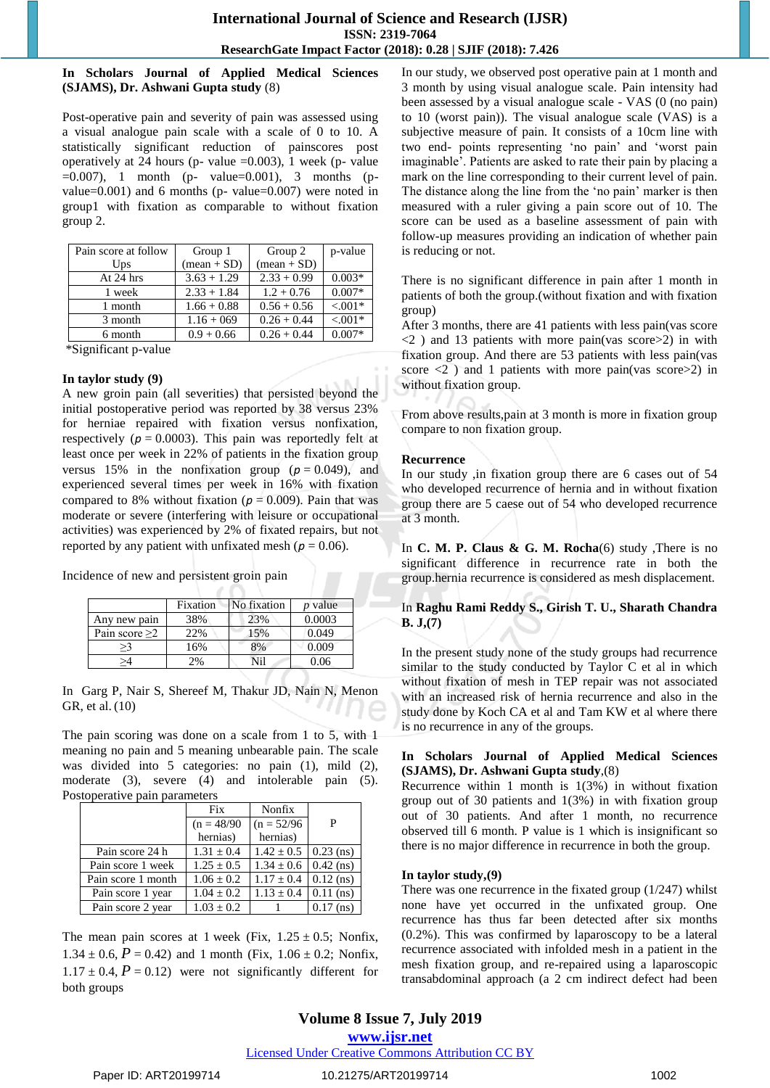#### **In Scholars Journal of Applied Medical Sciences (SJAMS), Dr. Ashwani Gupta study** (8)

Post-operative pain and severity of pain was assessed using a visual analogue pain scale with a scale of 0 to 10. A statistically significant reduction of painscores post operatively at 24 hours (p- value =0.003), 1 week (p- value  $=0.007$ ), 1 month (p- value $=0.001$ ), 3 months (pvalue=0.001) and 6 months (p- value=0.007) were noted in group1 with fixation as comparable to without fixation group 2.

| Pain score at follow | Group 1       | Group 2       | p-value   |
|----------------------|---------------|---------------|-----------|
| Ups                  | $mean + SD$   | $mean + SD$   |           |
| At 24 hrs            | $3.63 + 1.29$ | $2.33 + 0.99$ | $0.003*$  |
| 1 week               | $2.33 + 1.84$ | $1.2 + 0.76$  | $0.007*$  |
| 1 month              | $1.66 + 0.88$ | $0.56 + 0.56$ | $< 0.01*$ |
| 3 month              | $1.16 + 069$  | $0.26 + 0.44$ | $< 0.01*$ |
| 6 month              | $0.9 + 0.66$  | $0.26 + 0.44$ | $0.007*$  |

\*Significant p-value

#### **In taylor study (9)**

A new groin pain (all severities) that persisted beyond the initial postoperative period was reported by 38 versus 23% for herniae repaired with fixation versus nonfixation, respectively  $(p = 0.0003)$ . This pain was reportedly felt at least once per week in 22% of patients in the fixation group versus 15% in the nonfixation group  $(p = 0.049)$ , and experienced several times per week in 16% with fixation compared to 8% without fixation ( $p = 0.009$ ). Pain that was moderate or severe (interfering with leisure or occupational activities) was experienced by 2% of fixated repairs, but not reported by any patient with unfixated mesh ( $p = 0.06$ ).

Incidence of new and persistent groin pain

|                     | Fixation | No fixation | <i>p</i> value |
|---------------------|----------|-------------|----------------|
| Any new pain        | 38%      | 23%         | 0.0003         |
| Pain score $\geq$ 2 | 22%      | 15%         | 0.049          |
| >3                  | 16%      | 8%          | 0.009          |
| \/                  | $2\%$    | Nil         | ).06           |

In Garg P, Nair S, Shereef M, Thakur JD, Nain N, Menon GR, et al. (10)

The pain scoring was done on a scale from 1 to 5, with 1 meaning no pain and 5 meaning unbearable pain. The scale was divided into 5 categories: no pain (1), mild (2), moderate (3), severe (4) and intolerable pain (5). Postoperative pain parameters

|                    | Fix            | Nonfix                   |             |
|--------------------|----------------|--------------------------|-------------|
|                    | $(n = 48/90)$  | $(n = 52/96)$            | P           |
|                    | hernias)       | hernias)                 |             |
| Pain score 24 h    | $1.31 + 0.4$   | $1.42 \pm 0.5$           | $0.23$ (ns) |
| Pain score 1 week  | $1.25 + 0.5$   | $1.34 \pm 0.6$ 0.42 (ns) |             |
| Pain score 1 month | $1.06 \pm 0.2$ | $1.17 \pm 0.4$           | $0.12$ (ns) |
| Pain score 1 year  | $1.04 \pm 0.2$ | $1.13 \pm 0.4$           | $0.11$ (ns) |
| Pain score 2 year  | $1.03 \pm 0.2$ |                          | $0.17$ (ns) |

The mean pain scores at 1 week (Fix,  $1.25 \pm 0.5$ ; Nonfix,  $1.34 \pm 0.6$ ,  $P = 0.42$ ) and 1 month (Fix,  $1.06 \pm 0.2$ ; Nonfix,  $1.17 \pm 0.4$ ,  $P = 0.12$ ) were not significantly different for both groups

In our study, we observed post operative pain at 1 month and 3 month by using visual analogue scale. Pain intensity had been assessed by a visual analogue scale - VAS (0 (no pain) to 10 (worst pain)). The visual analogue scale (VAS) is a subjective measure of pain. It consists of a 10cm line with two end- points representing 'no pain' and 'worst pain imaginable'. Patients are asked to rate their pain by placing a mark on the line corresponding to their current level of pain. The distance along the line from the 'no pain' marker is then measured with a ruler giving a pain score out of 10. The score can be used as a baseline assessment of pain with follow-up measures providing an indication of whether pain is reducing or not.

There is no significant difference in pain after 1 month in patients of both the group.(without fixation and with fixation group)

After 3 months, there are 41 patients with less pain(vas score  $\langle 2 \rangle$  and 13 patients with more pain(vas score  $\geq$ 2) in with fixation group. And there are 53 patients with less pain(vas score  $\langle 2 \rangle$  and 1 patients with more pain(vas score  $\geq$ 2) in without fixation group.

From above results,pain at 3 month is more in fixation group compare to non fixation group.

#### **Recurrence**

In our study ,in fixation group there are 6 cases out of 54 who developed recurrence of hernia and in without fixation group there are 5 caese out of 54 who developed recurrence at 3 month.

In **C. M. P. Claus & G. M. Rocha**(6) study ,There is no significant difference in recurrence rate in both the group.hernia recurrence is considered as mesh displacement.

## In **Raghu Rami Reddy S., Girish T. U., Sharath Chandra B. J,(7)**

In the present study none of the study groups had recurrence similar to the study conducted by Taylor C et al in which without fixation of mesh in TEP repair was not associated with an increased risk of hernia recurrence and also in the study done by Koch CA et al and Tam KW et al where there is no recurrence in any of the groups.

#### **In Scholars Journal of Applied Medical Sciences (SJAMS), Dr. Ashwani Gupta study**,(8)

Recurrence within 1 month is 1(3%) in without fixation group out of 30 patients and 1(3%) in with fixation group out of 30 patients. And after 1 month, no recurrence observed till 6 month. P value is 1 which is insignificant so there is no major difference in recurrence in both the group.

#### **In taylor study,(9)**

There was one recurrence in the fixated group (1/247) whilst none have yet occurred in the unfixated group. One recurrence has thus far been detected after six months (0.2%). This was confirmed by laparoscopy to be a lateral recurrence associated with infolded mesh in a patient in the mesh fixation group, and re-repaired using a laparoscopic transabdominal approach (a 2 cm indirect defect had been